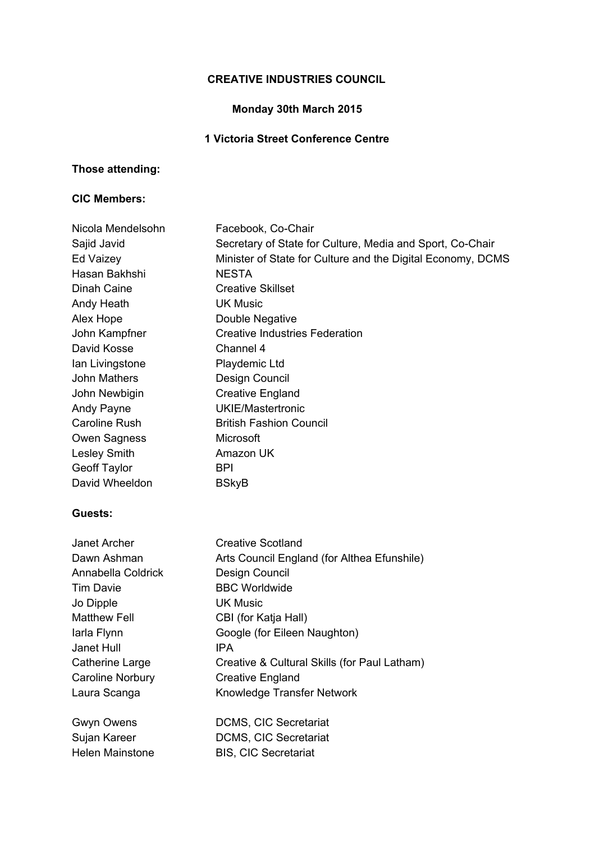# **CREATIVE INDUSTRIES COUNCIL**

# **Monday 30th March 2015**

### **1 Victoria Street Conference Centre**

# **Those attending:**

#### **CIC Members:**

| Nicola Mendelsohn       | Facebook, Co-Chair                                          |
|-------------------------|-------------------------------------------------------------|
| Sajid Javid             | Secretary of State for Culture, Media and Sport, Co-Chair   |
| Ed Vaizey               | Minister of State for Culture and the Digital Economy, DCMS |
| Hasan Bakhshi           | <b>NESTA</b>                                                |
| Dinah Caine             | <b>Creative Skillset</b>                                    |
| Andy Heath              | <b>UK Music</b>                                             |
| Alex Hope               | Double Negative                                             |
| John Kampfner           | <b>Creative Industries Federation</b>                       |
| David Kosse             | Channel 4                                                   |
| Ian Livingstone         | Playdemic Ltd                                               |
| <b>John Mathers</b>     | Design Council                                              |
| John Newbigin           | <b>Creative England</b>                                     |
| Andy Payne              | <b>UKIE/Mastertronic</b>                                    |
| Caroline Rush           | <b>British Fashion Council</b>                              |
| Owen Sagness            | Microsoft                                                   |
| <b>Lesley Smith</b>     | Amazon UK                                                   |
| Geoff Taylor            | <b>BPI</b>                                                  |
| David Wheeldon          | <b>BSkyB</b>                                                |
| Guests:                 |                                                             |
| Janet Archer            | <b>Creative Scotland</b>                                    |
| Dawn Ashman             | Arts Council England (for Althea Efunshile)                 |
| Annabella Coldrick      | Design Council                                              |
| <b>Tim Davie</b>        | <b>BBC Worldwide</b>                                        |
| Jo Dipple               | <b>UK Music</b>                                             |
| <b>Matthew Fell</b>     | CBI (for Katja Hall)                                        |
| larla Flynn             | Google (for Eileen Naughton)                                |
| Janet Hull              | <b>IPA</b>                                                  |
| <b>Catherine Large</b>  | Creative & Cultural Skills (for Paul Latham)                |
| <b>Caroline Norbury</b> | <b>Creative England</b>                                     |
| Laura Scanga            | Knowledge Transfer Network                                  |
| Gwyn Owens              | DCMS, CIC Secretariat                                       |
| Sujan Kareer            | DCMS, CIC Secretariat                                       |
| <b>Helen Mainstone</b>  | <b>BIS, CIC Secretariat</b>                                 |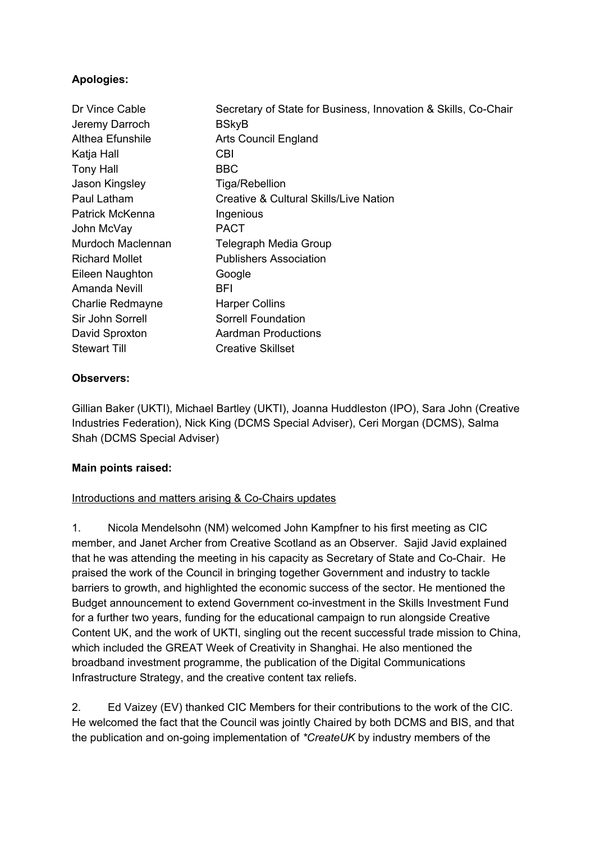### **Apologies:**

| Secretary of State for Business, Innovation & Skills, Co-Chair |
|----------------------------------------------------------------|
| <b>BSkyB</b>                                                   |
| <b>Arts Council England</b>                                    |
| <b>CBI</b>                                                     |
| <b>BBC</b>                                                     |
| Tiga/Rebellion                                                 |
| Creative & Cultural Skills/Live Nation                         |
| Ingenious                                                      |
| <b>PACT</b>                                                    |
| Telegraph Media Group                                          |
| <b>Publishers Association</b>                                  |
| Google                                                         |
| <b>BFI</b>                                                     |
| <b>Harper Collins</b>                                          |
| Sorrell Foundation                                             |
| <b>Aardman Productions</b>                                     |
| <b>Creative Skillset</b>                                       |
|                                                                |

#### **Observers:**

Gillian Baker (UKTI), Michael Bartley (UKTI), Joanna Huddleston (IPO), Sara John (Creative Industries Federation), Nick King (DCMS Special Adviser), Ceri Morgan (DCMS), Salma Shah (DCMS Special Adviser)

#### **Main points raised:**

#### Introductions and matters arising & Co-Chairs updates

1. Nicola Mendelsohn (NM) welcomed John Kampfner to his first meeting as CIC member, and Janet Archer from Creative Scotland as an Observer. Sajid Javid explained that he was attending the meeting in his capacity as Secretary of State and Co-Chair. He praised the work of the Council in bringing together Government and industry to tackle barriers to growth, and highlighted the economic success of the sector. He mentioned the Budget announcement to extend Government co-investment in the Skills Investment Fund for a further two years, funding for the educational campaign to run alongside Creative Content UK, and the work of UKTI, singling out the recent successful trade mission to China, which included the GREAT Week of Creativity in Shanghai. He also mentioned the broadband investment programme, the publication of the Digital Communications Infrastructure Strategy, and the creative content tax reliefs.

2. Ed Vaizey (EV) thanked CIC Members for their contributions to the work of the CIC. He welcomed the fact that the Council was jointly Chaired by both DCMS and BIS, and that the publication and on-going implementation of *\*CreateUK* by industry members of the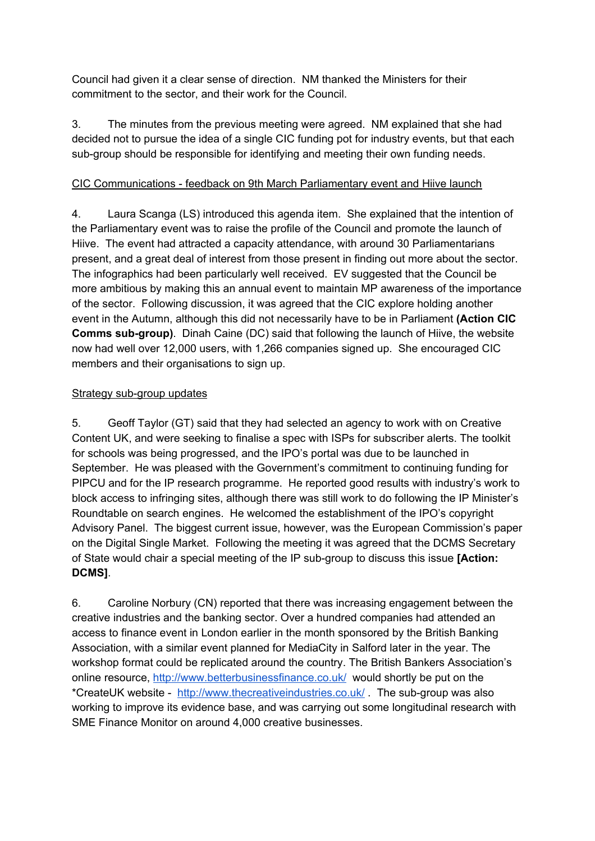Council had given it a clear sense of direction. NM thanked the Ministers for their commitment to the sector, and their work for the Council.

3. The minutes from the previous meeting were agreed. NM explained that she had decided not to pursue the idea of a single CIC funding pot for industry events, but that each sub-group should be responsible for identifying and meeting their own funding needs.

### CIC Communications - feedback on 9th March Parliamentary event and Hiive launch

4. Laura Scanga (LS) introduced this agenda item. She explained that the intention of the Parliamentary event was to raise the profile of the Council and promote the launch of Hiive. The event had attracted a capacity attendance, with around 30 Parliamentarians present, and a great deal of interest from those present in finding out more about the sector. The infographics had been particularly well received. EV suggested that the Council be more ambitious by making this an annual event to maintain MP awareness of the importance of the sector. Following discussion, it was agreed that the CIC explore holding another event in the Autumn, although this did not necessarily have to be in Parliament **(Action CIC Comms sub-group)**. Dinah Caine (DC) said that following the launch of Hiive, the website now had well over 12,000 users, with 1,266 companies signed up. She encouraged CIC members and their organisations to sign up.

### Strategy sub-group updates

5. Geoff Taylor (GT) said that they had selected an agency to work with on Creative Content UK, and were seeking to finalise a spec with ISPs for subscriber alerts. The toolkit for schools was being progressed, and the IPO's portal was due to be launched in September. He was pleased with the Government's commitment to continuing funding for PIPCU and for the IP research programme. He reported good results with industry's work to block access to infringing sites, although there was still work to do following the IP Minister's Roundtable on search engines. He welcomed the establishment of the IPO's copyright Advisory Panel. The biggest current issue, however, was the European Commission's paper on the Digital Single Market. Following the meeting it was agreed that the DCMS Secretary of State would chair a special meeting of the IP sub-group to discuss this issue **[Action: DCMS]**.

6. Caroline Norbury (CN) reported that there was increasing engagement between the creative industries and the banking sector. Over a hundred companies had attended an access to finance event in London earlier in the month sponsored by the British Banking Association, with a similar event planned for MediaCity in Salford later in the year. The workshop format could be replicated around the country. The British Bankers Association's online resource, <http://www.betterbusinessfinance.co.uk/> would shortly be put on the \*CreateUK website - <http://www.thecreativeindustries.co.uk/> . The sub-group was also working to improve its evidence base, and was carrying out some longitudinal research with SME Finance Monitor on around 4,000 creative businesses.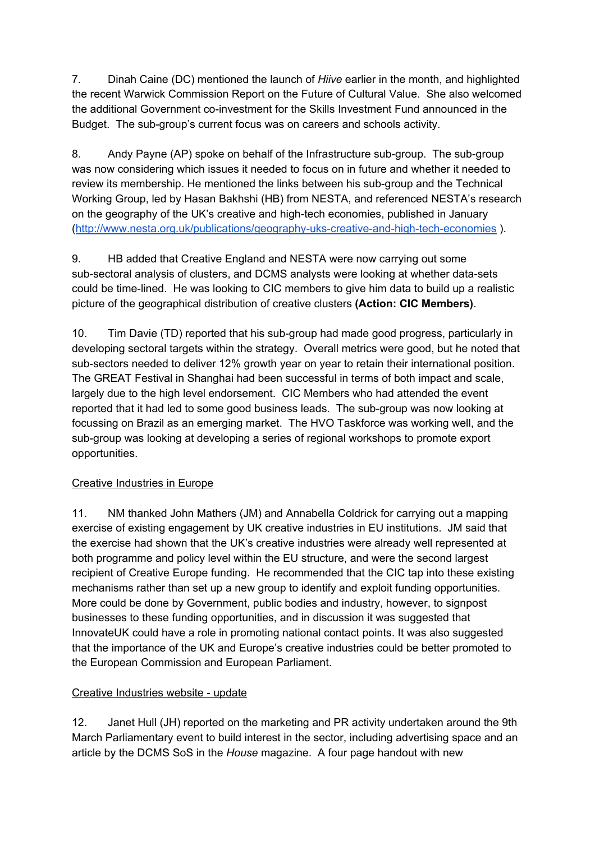7. Dinah Caine (DC) mentioned the launch of *Hiive* earlier in the month, and highlighted the recent Warwick Commission Report on the Future of Cultural Value. She also welcomed the additional Government co-investment for the Skills Investment Fund announced in the Budget. The sub-group's current focus was on careers and schools activity.

8. Andy Payne (AP) spoke on behalf of the Infrastructure sub-group. The sub-group was now considering which issues it needed to focus on in future and whether it needed to review its membership. He mentioned the links between his sub-group and the Technical Working Group, led by Hasan Bakhshi (HB) from NESTA, and referenced NESTA's research on the geography of the UK's creative and high-tech economies, published in January [\(http://www.nesta.org.uk/publications/geography-uks-creative-and-high-tech-economies](http://www.nesta.org.uk/publications/geography-uks-creative-and-high-tech-economies) ).

9. HB added that Creative England and NESTA were now carrying out some sub-sectoral analysis of clusters, and DCMS analysts were looking at whether data-sets could be time-lined. He was looking to CIC members to give him data to build up a realistic picture of the geographical distribution of creative clusters **(Action: CIC Members)**.

10. Tim Davie (TD) reported that his sub-group had made good progress, particularly in developing sectoral targets within the strategy. Overall metrics were good, but he noted that sub-sectors needed to deliver 12% growth year on year to retain their international position. The GREAT Festival in Shanghai had been successful in terms of both impact and scale, largely due to the high level endorsement. CIC Members who had attended the event reported that it had led to some good business leads. The sub-group was now looking at focussing on Brazil as an emerging market. The HVO Taskforce was working well, and the sub-group was looking at developing a series of regional workshops to promote export opportunities.

### Creative Industries in Europe

11. NM thanked John Mathers (JM) and Annabella Coldrick for carrying out a mapping exercise of existing engagement by UK creative industries in EU institutions. JM said that the exercise had shown that the UK's creative industries were already well represented at both programme and policy level within the EU structure, and were the second largest recipient of Creative Europe funding. He recommended that the CIC tap into these existing mechanisms rather than set up a new group to identify and exploit funding opportunities. More could be done by Government, public bodies and industry, however, to signpost businesses to these funding opportunities, and in discussion it was suggested that InnovateUK could have a role in promoting national contact points. It was also suggested that the importance of the UK and Europe's creative industries could be better promoted to the European Commission and European Parliament.

#### Creative Industries website - update

12. Janet Hull (JH) reported on the marketing and PR activity undertaken around the 9th March Parliamentary event to build interest in the sector, including advertising space and an article by the DCMS SoS in the *House* magazine. A four page handout with new